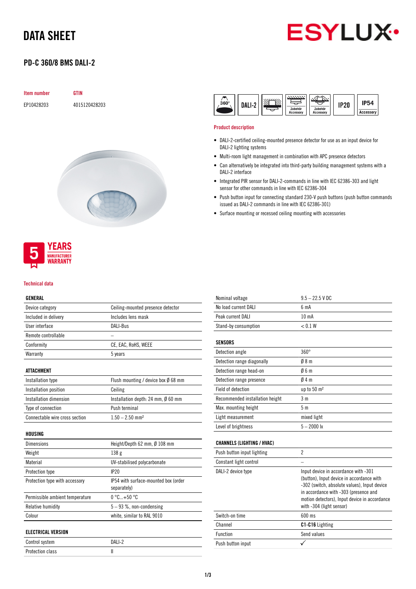# DATA SHEET

# **ESYLUX**

# PD-C 360/8 BMS DALI-2

| Item number | <b>GTIN</b>   |
|-------------|---------------|
| EP10428203  | 4015120428203 |





#### Technical data

#### GENERAL

| Device category      | Ceiling-mounted presence detector |
|----------------------|-----------------------------------|
| Included in delivery | Includes lens mask                |
| User interface       | DALI-Bus                          |
| Remote controllable  |                                   |
| Conformity           | CE, EAC, RoHS, WEEE               |
| Warranty             | 5 years                           |
|                      |                                   |

# ATTACHMENT

| Installation type              | Flush mounting / device box Ø 68 mm |
|--------------------------------|-------------------------------------|
| Installation position          | Ceiling                             |
| Installation dimension         | Installation depth: 24 mm, Ø 60 mm  |
| Type of connection             | Push terminal                       |
| Connectable wire cross section | $1.50 - 2.50$ mm <sup>2</sup>       |

# HOUSING

| <b>Dimensions</b>               | Height/Depth 62 mm, Ø 108 mm                        |
|---------------------------------|-----------------------------------------------------|
| Weight                          | 138 <sub>g</sub>                                    |
| Material                        | UV-stabilised polycarbonate                         |
| Protection type                 | IP20                                                |
| Protection type with accessory  | IP54 with surface-mounted box (order<br>separately) |
| Permissible ambient temperature | $0^{\circ}$ C+50 $^{\circ}$ C                       |
| Relative humidity               | $5 - 93$ %, non-condensing                          |
| Colour                          | white, similar to RAL 9010                          |
| <b>ELECTRICAL VERSION</b>       |                                                     |
| Control system                  | DALI-2                                              |

Protection class II

| $360^\circ$ | JALI-2 | 77777777<br>Zubehör | Zubehör          | IP20 | IP54      |
|-------------|--------|---------------------|------------------|------|-----------|
|             |        | <b>Accessory</b>    | <b>Accessory</b> |      | Accessory |

### Product description

- DALI-2-certified ceiling-mounted presence detector for use as an input device for DALI-2 lighting systems
- Multi-room light management in combination with APC presence detectors
- Can alternatively be integrated into third-party building management systems with a DALI-2 interface
- Integrated PIR sensor for DALI-2-commands in line with IEC 62386-303 and light sensor for other commands in line with IEC 62386-304
- Push button input for connecting standard 230-V push buttons (push button commands issued as DALI-2 commands in line with IEC 62386-301)
- Surface mounting or recessed ceiling mounting with accessories

| Nominal voltage                   | $9.5 - 22.5$ V DC                                                                                                                                                                                                                                       |
|-----------------------------------|---------------------------------------------------------------------------------------------------------------------------------------------------------------------------------------------------------------------------------------------------------|
| No load current DALI              | 6 <sub>m</sub> A                                                                                                                                                                                                                                        |
| Peak current DALI                 | 10 <sub>m</sub> A                                                                                                                                                                                                                                       |
| Stand-by consumption              | < 0.1 W                                                                                                                                                                                                                                                 |
| <b>SENSORS</b>                    |                                                                                                                                                                                                                                                         |
| Detection angle                   | $360^\circ$                                                                                                                                                                                                                                             |
| Detection range diagonally        | 08 <sub>m</sub>                                                                                                                                                                                                                                         |
| Detection range head-on           | 06m                                                                                                                                                                                                                                                     |
| Detection range presence          | 04m                                                                                                                                                                                                                                                     |
| Field of detection                | up to 50 m <sup>2</sup>                                                                                                                                                                                                                                 |
| Recommended installation height   | 3 <sub>m</sub>                                                                                                                                                                                                                                          |
| Max. mounting height              | 5 <sub>m</sub>                                                                                                                                                                                                                                          |
| Light measurement                 | mixed light                                                                                                                                                                                                                                             |
| Level of brightness               | $5 - 2000$ lx                                                                                                                                                                                                                                           |
| <b>CHANNELS (LIGHTING / HVAC)</b> |                                                                                                                                                                                                                                                         |
| Push button input lighting        | $\overline{2}$                                                                                                                                                                                                                                          |
| Constant light control            |                                                                                                                                                                                                                                                         |
| DALI-2 device type                | Input device in accordance with -301<br>(button), Input device in accordance with<br>-302 (switch, absolute values), Input device<br>in accordance with -303 (presence and<br>motion detectors), Input device in accordance<br>with -304 (light sensor) |
| Switch-on time                    | 600 ms                                                                                                                                                                                                                                                  |
| Channel                           | C1-C16 Lighting                                                                                                                                                                                                                                         |
| Function                          | Send values                                                                                                                                                                                                                                             |

Push button input  $\checkmark$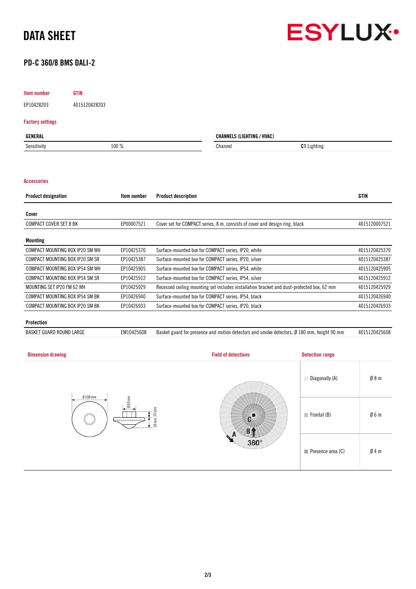



# PD-C 360/8 BMS DALI-2

# Item number GTIN

EP10428203 4015120428203

# Factory settings

| GENERAL     |       | <b>CHANNELS (LIGHTING / HVAC)</b> |                    |
|-------------|-------|-----------------------------------|--------------------|
| Sensitivity | 100 % | Channel                           | <b>C1</b> Lighting |
|             |       |                                   |                    |

# Accessories

| <b>Product designation</b>      | Item number | <b>Product description</b>                                                                | <b>GTIN</b>   |
|---------------------------------|-------------|-------------------------------------------------------------------------------------------|---------------|
| Cover                           |             |                                                                                           |               |
| <b>COMPACT COVER SET 8 BK</b>   | EP00007521  | Cover set for COMPACT series, 8 m, consists of cover and design ring, black               | 4015120007521 |
|                                 |             |                                                                                           |               |
| Mounting                        |             |                                                                                           |               |
| COMPACT MOUNTING BOX IP20 SM WH | EP10425370  | Surface-mounted box for COMPACT series, IP20, white                                       | 4015120425370 |
| COMPACT MOUNTING BOX IP20 SM SR | EP10425387  | Surface-mounted box for COMPACT series, IP20, silver                                      | 4015120425387 |
| COMPACT MOUNTING BOX IP54 SM WH | EP10425905  | Surface-mounted box for COMPACT series, IP54, white                                       | 4015120425905 |
| COMPACT MOUNTING BOX IP54 SM SR | EP10425912  | Surface-mounted box for COMPACT series, IP54, silver                                      | 4015120425912 |
| MOUNTING SET IP20 FM 62 WH      | EP10425929  | Recessed ceiling mounting set includes installation bracket and dust-protected box, 62 mm | 4015120425929 |
| COMPACT MOUNTING BOX IP54 SM BK | EP10426940  | Surface-mounted box for COMPACT series, IP54, black                                       | 4015120426940 |
| COMPACT MOUNTING BOX IP20 SM BK | EP10426933  | Surface-mounted box for COMPACT series, IP20, black                                       | 4015120426933 |
| - - -                           |             |                                                                                           |               |

# Protection

BASKET GUARD ROUND LARGE EM10425608 Basket guard for presence and motion detectors and smoke detectors, Ø 180 mm, height 90 mm 4015120425608

| <b>Dimension drawing</b>  | <b>Field of detections</b> | <b>Detection range</b>     |     |
|---------------------------|----------------------------|----------------------------|-----|
| $Ø108$ mm                 |                            | Diagonally (A)             | Ø8m |
| Ø60mm<br>24 mm<br>$38$ mm |                            | $\blacksquare$ Frontal (B) | Ø6m |
|                           | Л<br>$360^\circ$           | Presence area (C)          | Ø4m |